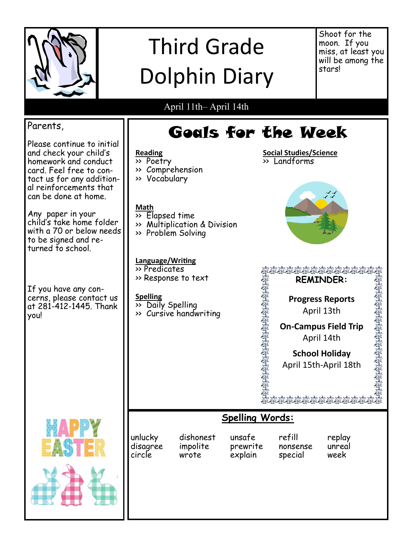

# Third Grade Dolphin Diary

Shoot for the moon. If you miss, at least you will be among the stars!

## April 11th– April 14th

**Reading** >> Poetry

#### Parents,

Please continue to initial and check your child's homework and conduct card. Feel free to contact us for any additional reinforcements that can be done at home.

Any paper in your child's take home folder with a 70 or below needs to be signed and returned to school.

If you have any concerns, please contact us at 281-412-1445. Thank you!

#### >> Comprehension >> Vocabulary **Math**  $\overline{\rightarrow}$  Elapsed time >> Multiplication & Division >> Problem Solving **Language/Writing** andarda<br>Bolko kolk >> Predicates >> Response to text VDER: **REMINDER:**  $\mathbf{C}$ **Spelling Progress Reports** Reports  $\overline{\rightarrow}$  Daily Spelling April 13th >> Cursive handwriting **On-Campus Field Trip** April 14th **School Holiday** April 15th-April 18th**Spelling Words:**

Goals for the Week

**Social Studies/Science**

 $\overline{\rightarrow}$  Landforms



| unlucky  | dishonest | unsafe   | refill   | replay |
|----------|-----------|----------|----------|--------|
| disagree | impolite  | prewrite | nonsense | unreal |
| circle   | wrote     | explain  | special  | week   |